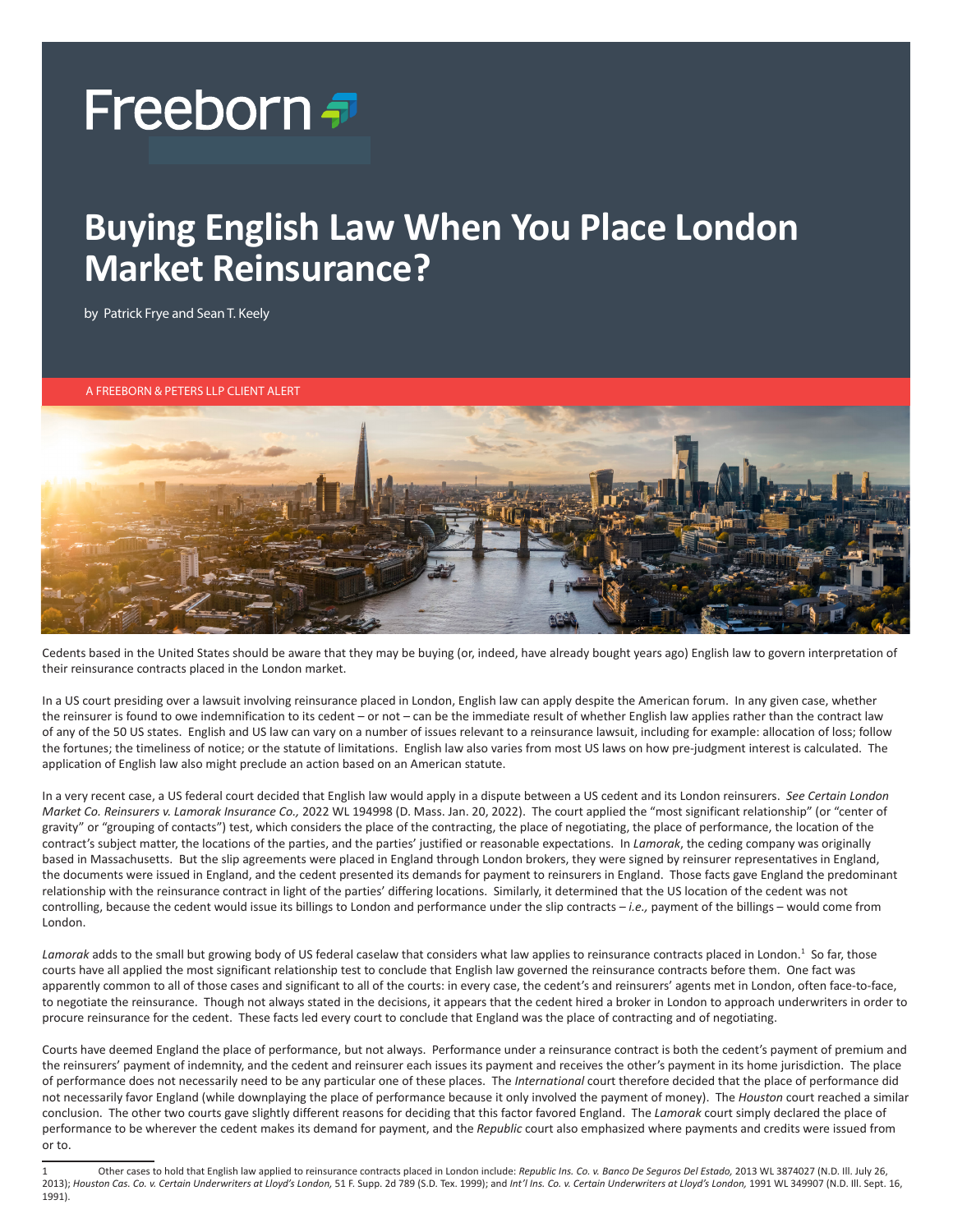## Freeborn <del>*a*</del>

## **Buying English Law When You Place London Market Reinsurance?**

by Patrick Frye and Sean T. Keely

A FREEBORN & PETERS LLP CLIENT ALERT



Cedents based in the United States should be aware that they may be buying (or, indeed, have already bought years ago) English law to govern interpretation of their reinsurance contracts placed in the London market.

In a US court presiding over a lawsuit involving reinsurance placed in London, English law can apply despite the American forum. In any given case, whether the reinsurer is found to owe indemnification to its cedent – or not – can be the immediate result of whether English law applies rather than the contract law of any of the 50 US states. English and US law can vary on a number of issues relevant to a reinsurance lawsuit, including for example: allocation of loss; follow the fortunes; the timeliness of notice; or the statute of limitations. English law also varies from most US laws on how pre-judgment interest is calculated. The application of English law also might preclude an action based on an American statute.

In a very recent case, a US federal court decided that English law would apply in a dispute between a US cedent and its London reinsurers. *See Certain London Market Co. Reinsurers v. Lamorak Insurance Co.,* 2022 WL 194998 (D. Mass. Jan. 20, 2022). The court applied the "most significant relationship" (or "center of gravity" or "grouping of contacts") test, which considers the place of the contracting, the place of negotiating, the place of performance, the location of the contract's subject matter, the locations of the parties, and the parties' justified or reasonable expectations. In *Lamorak*, the ceding company was originally based in Massachusetts. But the slip agreements were placed in England through London brokers, they were signed by reinsurer representatives in England, the documents were issued in England, and the cedent presented its demands for payment to reinsurers in England. Those facts gave England the predominant relationship with the reinsurance contract in light of the parties' differing locations. Similarly, it determined that the US location of the cedent was not controlling, because the cedent would issue its billings to London and performance under the slip contracts – *i.e.,* payment of the billings – would come from London.

Lamorak adds to the small but growing body of US federal caselaw that considers what law applies to reinsurance contracts placed in London.<sup>1</sup> So far, those courts have all applied the most significant relationship test to conclude that English law governed the reinsurance contracts before them. One fact was apparently common to all of those cases and significant to all of the courts: in every case, the cedent's and reinsurers' agents met in London, often face-to-face, to negotiate the reinsurance. Though not always stated in the decisions, it appears that the cedent hired a broker in London to approach underwriters in order to procure reinsurance for the cedent. These facts led every court to conclude that England was the place of contracting and of negotiating.

Courts have deemed England the place of performance, but not always. Performance under a reinsurance contract is both the cedent's payment of premium and the reinsurers' payment of indemnity, and the cedent and reinsurer each issues its payment and receives the other's payment in its home jurisdiction. The place of performance does not necessarily need to be any particular one of these places. The *International* court therefore decided that the place of performance did not necessarily favor England (while downplaying the place of performance because it only involved the payment of money). The *Houston* court reached a similar conclusion. The other two courts gave slightly different reasons for deciding that this factor favored England. The *Lamorak* court simply declared the place of performance to be wherever the cedent makes its demand for payment, and the *Republic* court also emphasized where payments and credits were issued from or to.

<sup>1</sup> Other cases to hold that English law applied to reinsurance contracts placed in London include: *Republic Ins. Co. v. Banco De Seguros Del Estado,* 2013 WL 3874027 (N.D. Ill. July 26, 2013); *Houston Cas. Co. v. Certain Underwriters at Lloyd's London,* 51 F. Supp. 2d 789 (S.D. Tex. 1999); and *Int'l Ins. Co. v. Certain Underwriters at Lloyd's London,* 1991 WL 349907 (N.D. Ill. Sept. 16, 1991).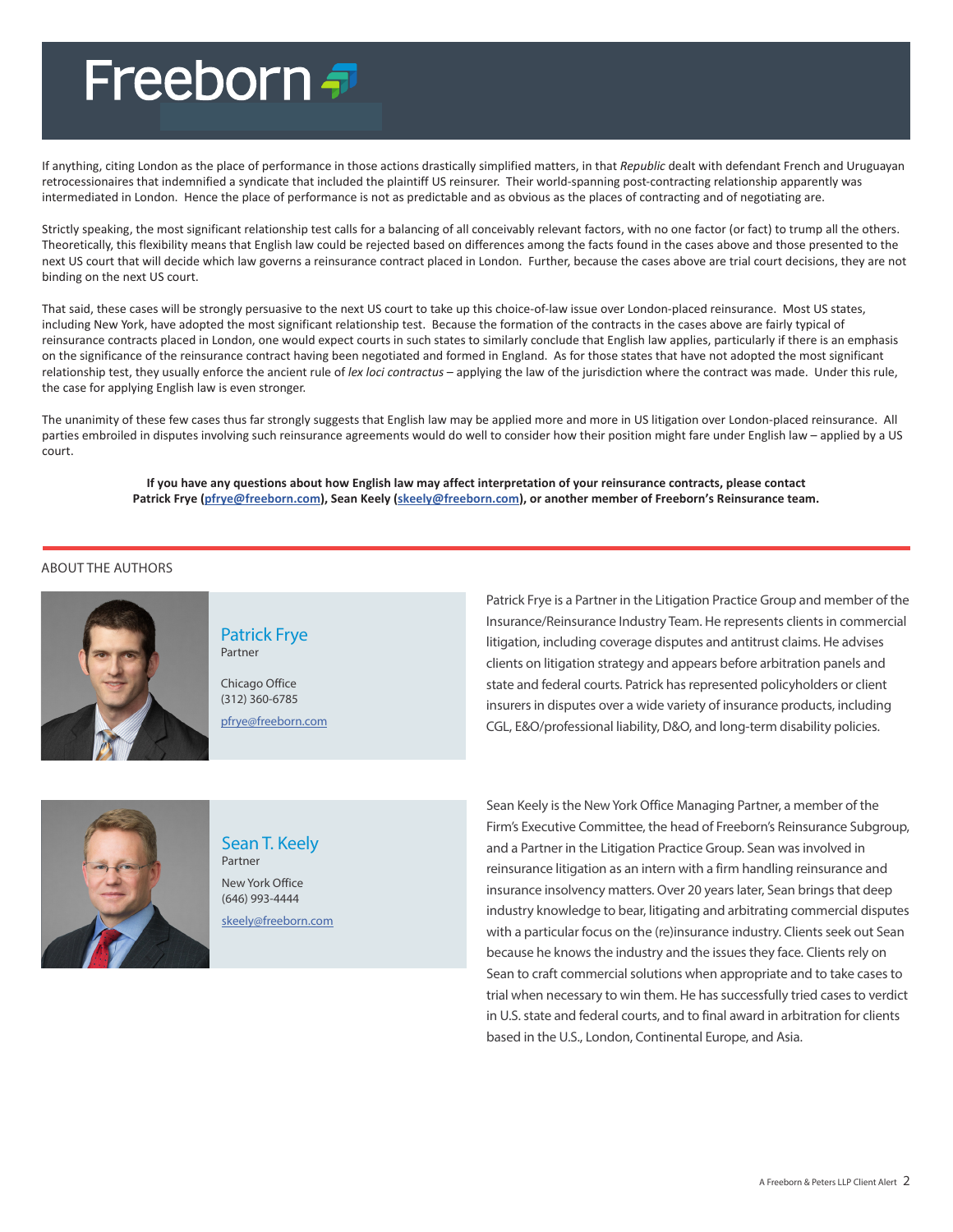# Freeborn <del>T</del>

If anything, citing London as the place of performance in those actions drastically simplified matters, in that *Republic* dealt with defendant French and Uruguayan retrocessionaires that indemnified a syndicate that included the plaintiff US reinsurer. Their world-spanning post-contracting relationship apparently was intermediated in London. Hence the place of performance is not as predictable and as obvious as the places of contracting and of negotiating are.

Strictly speaking, the most significant relationship test calls for a balancing of all conceivably relevant factors, with no one factor (or fact) to trump all the others. Theoretically, this flexibility means that English law could be rejected based on differences among the facts found in the cases above and those presented to the next US court that will decide which law governs a reinsurance contract placed in London. Further, because the cases above are trial court decisions, they are not binding on the next US court.

That said, these cases will be strongly persuasive to the next US court to take up this choice-of-law issue over London-placed reinsurance. Most US states, including New York, have adopted the most significant relationship test. Because the formation of the contracts in the cases above are fairly typical of reinsurance contracts placed in London, one would expect courts in such states to similarly conclude that English law applies, particularly if there is an emphasis on the significance of the reinsurance contract having been negotiated and formed in England. As for those states that have not adopted the most significant relationship test, they usually enforce the ancient rule of *lex loci contractus* – applying the law of the jurisdiction where the contract was made. Under this rule, the case for applying English law is even stronger.

The unanimity of these few cases thus far strongly suggests that English law may be applied more and more in US litigation over London-placed reinsurance. All parties embroiled in disputes involving such reinsurance agreements would do well to consider how their position might fare under English law – applied by a US court.

### **If you have any questions about how English law may affect interpretation of your reinsurance contracts, please contact Patrick Frye ([pfrye@freeborn.com](mailto:pfrye%40freeborn.com?subject=)), Sean Keely ([skeely@freeborn.com\)](mailto:skeely%40freeborn.com?subject=), or another member of Freeborn's Reinsurance team.**

### ABOUT THE AUTHORS



Patrick Frye Partner

Chicago Office (312) 360-6785 [pfrye@freeborn.com](mailto:pfrye%40freeborn.com?subject=)



### Sean T. Keely

New York Office (646) 993-4444 [skeely@freeborn.com](mailto:skeely%40freeborn.com?subject=) Patrick Frye is a Partner in the Litigation Practice Group and member of the Insurance/Reinsurance Industry Team. He represents clients in commercial litigation, including coverage disputes and antitrust claims. He advises clients on litigation strategy and appears before arbitration panels and state and federal courts. Patrick has represented policyholders or client insurers in disputes over a wide variety of insurance products, including CGL, E&O/professional liability, D&O, and long-term disability policies.

Sean Keely is the New York Office Managing Partner, a member of the Firm's Executive Committee, the head of Freeborn's Reinsurance Subgroup, and a Partner in the Litigation Practice Group. Sean was involved in reinsurance litigation as an intern with a firm handling reinsurance and insurance insolvency matters. Over 20 years later, Sean brings that deep industry knowledge to bear, litigating and arbitrating commercial disputes with a particular focus on the (re)insurance industry. Clients seek out Sean because he knows the industry and the issues they face. Clients rely on Sean to craft commercial solutions when appropriate and to take cases to trial when necessary to win them. He has successfully tried cases to verdict in U.S. state and federal courts, and to final award in arbitration for clients based in the U.S., London, Continental Europe, and Asia.